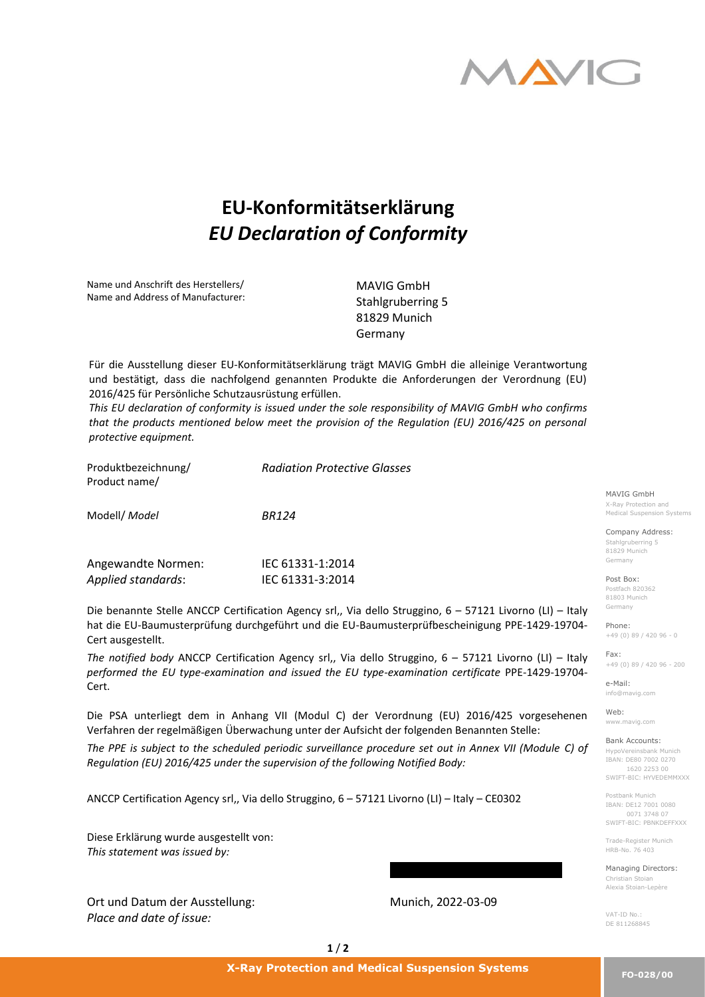

## **EU-Konformitätserklärung**  *EU Declaration of Conformity*

Name und Anschrift des Herstellers/ Name and Address of Manufacturer:

MAVIG GmbH Stahlgruberring 5 81829 Munich Germany

Für die Ausstellung dieser EU-Konformitätserklärung trägt MAVIG GmbH die alleinige Verantwortung und bestätigt, dass die nachfolgend genannten Produkte die Anforderungen der Verordnung (EU) 2016/425 für Persönliche Schutzausrüstung erfüllen.

*This EU declaration of conformity is issued under the sole responsibility of MAVIG GmbH who confirms that the products mentioned below meet the provision of the Regulation (EU) 2016/425 on personal protective equipment.*

| Produktbezeichnung/<br>Product name/ | <b>Radiation Protective Glasses</b> |                            |  |
|--------------------------------------|-------------------------------------|----------------------------|--|
|                                      |                                     | MAVIG GmbH                 |  |
|                                      |                                     | X-Ray Protection and       |  |
| Modell/ Model                        | <b>BR124</b>                        | Medical Suspension Systems |  |
|                                      |                                     | Company Address:           |  |
|                                      |                                     | Stahlgruberring 5          |  |
|                                      |                                     | 81829 Munich               |  |
| Angewandte Normen:                   | IEC 61331-1:2014                    | Germany                    |  |
| Applied standards:                   | IEC 61331-3:2014                    | Post Box:                  |  |
|                                      |                                     | _ _ _ _ _ _ _ _ _ _        |  |

Die benannte Stelle ANCCP Certification Agency srl,, Via dello Struggino, 6 – 57121 Livorno (LI) – Italy hat die EU-Baumusterprüfung durchgeführt und die EU-Baumusterprüfbescheinigung PPE-1429-19704- Cert ausgestellt.

*The notified body* ANCCP Certification Agency srl,, Via dello Struggino, 6 – 57121 Livorno (LI) – Italy *performed the EU type-examination and issued the EU type-examination certificate* PPE-1429-19704- Cert.

Die PSA unterliegt dem in Anhang VII (Modul C) der Verordnung (EU) 2016/425 vorgesehenen Verfahren der regelmäßigen Überwachung unter der Aufsicht der folgenden Benannten Stelle:

*The PPE is subject to the scheduled periodic surveillance procedure set out in Annex VII (Module C) of Regulation (EU) 2016/425 under the supervision of the following Notified Body:*

ANCCP Certification Agency srl,, Via dello Struggino, 6 – 57121 Livorno (LI) – Italy – CE0302

Diese Erklärung wurde ausgestellt von: *This statement was issued by:*

Ort und Datum der Ausstellung: *Place and date of issue:*

Munich, 2022-03-09

Madl Irene – Head of Regulatory

Postfach 820362 81803 Munich Germany

Phone: +49 (0) 89 / 420 96 - 0

Fax: +49 (0) 89 / 420 96 - 200

e-Mail: info@mavig.com

Web: www.mavig.com

Bank Accounts: HypoVereinsbank Munich IBAN: DE80 7002 0270 1620 2253 00 SWIFT-BIC: HYVEDEMMXXX

Postbank Munich IBAN: DE12 7001 0080 0071 3748 07 SWIFT-BIC: PBNKDEFFXXX

Trade-Register Munich HRB-No. 76 403

Managing Directors: Christian Stoian Alexia Stoian-Lepère

VAT-ID No.: DE 811268845

**1** / **2**